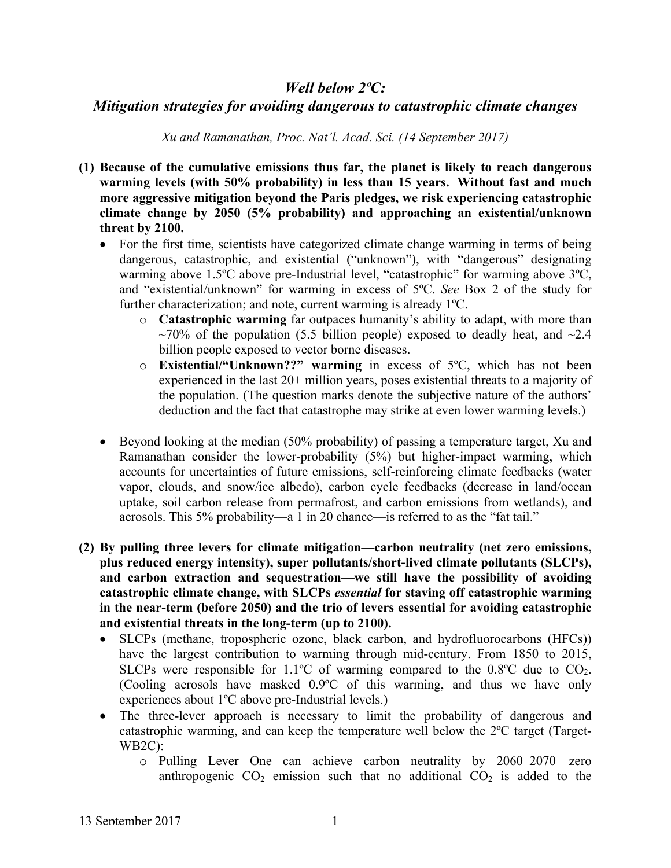## *Well below 2ºC:*

## *Mitigation strategies for avoiding dangerous to catastrophic climate changes*

*Xu and Ramanathan, Proc. Nat'l. Acad. Sci. (14 September 2017)*

- **(1) Because of the cumulative emissions thus far, the planet is likely to reach dangerous warming levels (with 50% probability) in less than 15 years. Without fast and much more aggressive mitigation beyond the Paris pledges, we risk experiencing catastrophic climate change by 2050 (5% probability) and approaching an existential/unknown threat by 2100.**
	- For the first time, scientists have categorized climate change warming in terms of being dangerous, catastrophic, and existential ("unknown"), with "dangerous" designating warming above 1.5ºC above pre-Industrial level, "catastrophic" for warming above 3ºC, and "existential/unknown" for warming in excess of 5ºC. *See* Box 2 of the study for further characterization; and note, current warming is already 1ºC.
		- o **Catastrophic warming** far outpaces humanity's ability to adapt, with more than  $\sim$ 70% of the population (5.5 billion people) exposed to deadly heat, and  $\sim$ 2.4 billion people exposed to vector borne diseases.
		- o **Existential/"Unknown??" warming** in excess of 5ºC, which has not been experienced in the last 20+ million years, poses existential threats to a majority of the population. (The question marks denote the subjective nature of the authors' deduction and the fact that catastrophe may strike at even lower warming levels.)
	- Beyond looking at the median (50% probability) of passing a temperature target, Xu and Ramanathan consider the lower-probability (5%) but higher-impact warming, which accounts for uncertainties of future emissions, self-reinforcing climate feedbacks (water vapor, clouds, and snow/ice albedo), carbon cycle feedbacks (decrease in land/ocean uptake, soil carbon release from permafrost, and carbon emissions from wetlands), and aerosols. This 5% probability—a 1 in 20 chance—is referred to as the "fat tail."
- **(2) By pulling three levers for climate mitigation—carbon neutrality (net zero emissions, plus reduced energy intensity), super pollutants/short-lived climate pollutants (SLCPs), and carbon extraction and sequestration—we still have the possibility of avoiding catastrophic climate change, with SLCPs** *essential* **for staving off catastrophic warming in the near-term (before 2050) and the trio of levers essential for avoiding catastrophic and existential threats in the long-term (up to 2100).**
	- SLCPs (methane, tropospheric ozone, black carbon, and hydrofluorocarbons (HFCs)) have the largest contribution to warming through mid-century. From 1850 to 2015, SLCPs were responsible for 1.1<sup>o</sup>C of warming compared to the  $0.8$ <sup>o</sup>C due to CO<sub>2</sub>. (Cooling aerosols have masked 0.9ºC of this warming, and thus we have only experiences about 1ºC above pre-Industrial levels.)
	- The three-lever approach is necessary to limit the probability of dangerous and catastrophic warming, and can keep the temperature well below the 2ºC target (Target-WB2C):
		- o Pulling Lever One can achieve carbon neutrality by 2060–2070—zero anthropogenic  $CO_2$  emission such that no additional  $CO_2$  is added to the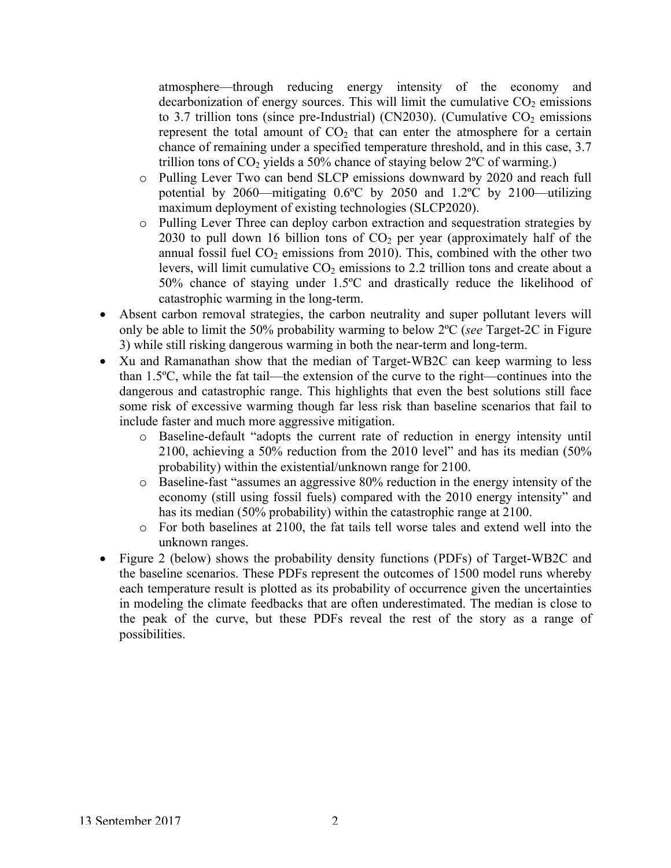atmosphere—through reducing energy intensity of the economy and decarbonization of energy sources. This will limit the cumulative  $CO<sub>2</sub>$  emissions to 3.7 trillion tons (since pre-Industrial) (CN2030). (Cumulative  $CO<sub>2</sub>$  emissions represent the total amount of  $CO<sub>2</sub>$  that can enter the atmosphere for a certain chance of remaining under a specified temperature threshold, and in this case, 3.7 trillion tons of  $CO<sub>2</sub>$  yields a 50% chance of staying below  $2^{\circ}$ C of warming.)

- o Pulling Lever Two can bend SLCP emissions downward by 2020 and reach full potential by 2060—mitigating 0.6ºC by 2050 and 1.2ºC by 2100—utilizing maximum deployment of existing technologies (SLCP2020).
- o Pulling Lever Three can deploy carbon extraction and sequestration strategies by 2030 to pull down 16 billion tons of  $CO<sub>2</sub>$  per year (approximately half of the annual fossil fuel  $CO<sub>2</sub>$  emissions from 2010). This, combined with the other two levers, will limit cumulative  $CO<sub>2</sub>$  emissions to 2.2 trillion tons and create about a 50% chance of staying under 1.5ºC and drastically reduce the likelihood of catastrophic warming in the long-term.
- Absent carbon removal strategies, the carbon neutrality and super pollutant levers will only be able to limit the 50% probability warming to below 2ºC (*see* Target-2C in Figure 3) while still risking dangerous warming in both the near-term and long-term.
- Xu and Ramanathan show that the median of Target-WB2C can keep warming to less than 1.5ºC, while the fat tail—the extension of the curve to the right—continues into the dangerous and catastrophic range. This highlights that even the best solutions still face some risk of excessive warming though far less risk than baseline scenarios that fail to include faster and much more aggressive mitigation.
	- o Baseline-default "adopts the current rate of reduction in energy intensity until 2100, achieving a 50% reduction from the 2010 level" and has its median (50% probability) within the existential/unknown range for 2100.
	- o Baseline-fast "assumes an aggressive 80% reduction in the energy intensity of the economy (still using fossil fuels) compared with the 2010 energy intensity" and has its median (50% probability) within the catastrophic range at 2100.
	- o For both baselines at 2100, the fat tails tell worse tales and extend well into the unknown ranges.
- Figure 2 (below) shows the probability density functions (PDFs) of Target-WB2C and the baseline scenarios. These PDFs represent the outcomes of 1500 model runs whereby each temperature result is plotted as its probability of occurrence given the uncertainties in modeling the climate feedbacks that are often underestimated. The median is close to the peak of the curve, but these PDFs reveal the rest of the story as a range of possibilities.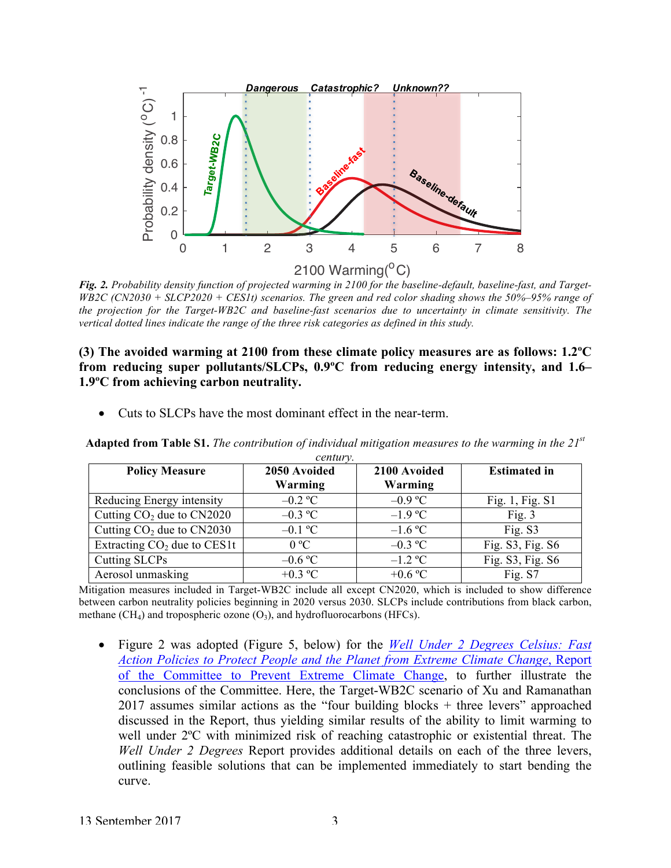

*Fig. 2. Probability density function of projected warming in 2100 for the baseline-default, baseline-fast, and Target-WB2C (CN2030 + SLCP2020 + CES1t) scenarios. The green and red color shading shows the 50%–95% range of the projection for the Target-WB2C and baseline-fast scenarios due to uncertainty in climate sensitivity. The vertical dotted lines indicate the range of the three risk categories as defined in this study.*

## **(3) The avoided warming at 2100 from these climate policy measures are as follows: 1.2ºC from reducing super pollutants/SLCPs, 0.9ºC from reducing energy intensity, and 1.6– 1.9ºC from achieving carbon neutrality.**

• Cuts to SLCPs have the most dominant effect in the near-term.

| century.                      |              |              |                     |
|-------------------------------|--------------|--------------|---------------------|
| <b>Policy Measure</b>         | 2050 Avoided | 2100 Avoided | <b>Estimated in</b> |
|                               | Warming      | Warming      |                     |
| Reducing Energy intensity     | $-0.2$ °C    | $-0.9$ °C    | Fig. 1, Fig. S1     |
| Cutting $CO2$ due to $CN2020$ | $-0.3$ °C    | $-1.9 °C$    | Fig. $3$            |
| Cutting $CO2$ due to $CN2030$ | $-0.1$ °C    | $-1.6$ °C    | Fig. S3             |
| Extracting $CO2$ due to CES1t | 0 °C         | $-0.3$ °C    | Fig. S3, Fig. S6    |
| Cutting SLCPs                 | $-0.6$ °C    | $-1.2$ °C    | Fig. S3, Fig. S6    |
| Aerosol unmasking             | $+0.3$ °C    | $+0.6$ °C    | Fig. S7             |

**Adapted from Table S1.** *The contribution of individual mitigation measures to the warming in the 21st*

Mitigation measures included in Target-WB2C include all except CN2020, which is included to show difference between carbon neutrality policies beginning in 2020 versus 2030. SLCPs include contributions from black carbon, methane  $(CH_4)$  and tropospheric ozone  $(O_3)$ , and hydrofluorocarbons (HFCs).

• Figure 2 was adopted (Figure 5, below) for the *Well Under 2 Degrees Celsius: Fast Action Policies to Protect People and the Planet from Extreme Climate Change*, Report of the Committee to Prevent Extreme Climate Change, to further illustrate the conclusions of the Committee. Here, the Target-WB2C scenario of Xu and Ramanathan 2017 assumes similar actions as the "four building blocks + three levers" approached discussed in the Report, thus yielding similar results of the ability to limit warming to well under 2ºC with minimized risk of reaching catastrophic or existential threat. The *Well Under 2 Degrees* Report provides additional details on each of the three levers, outlining feasible solutions that can be implemented immediately to start bending the curve.